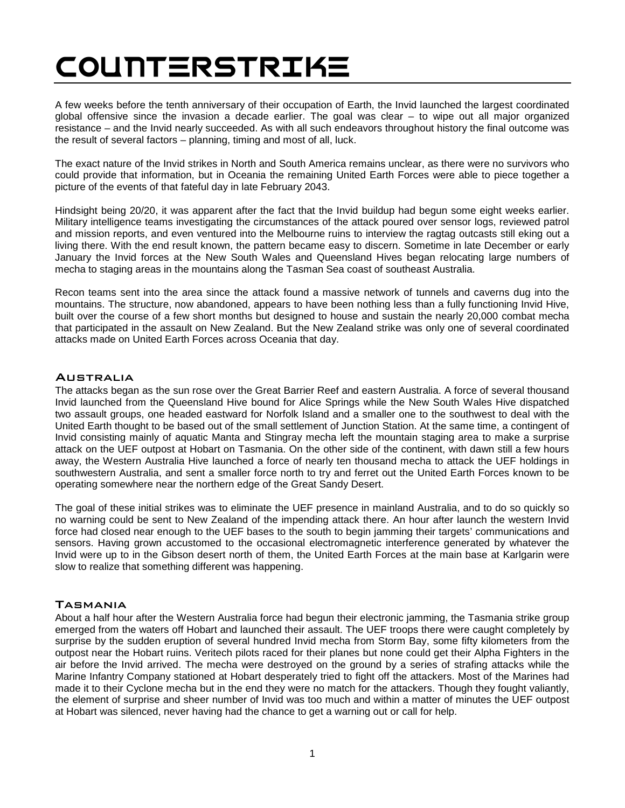# COUNTERSTRIKE

A few weeks before the tenth anniversary of their occupation of Earth, the Invid launched the largest coordinated global offensive since the invasion a decade earlier. The goal was clear – to wipe out all major organized resistance – and the Invid nearly succeeded. As with all such endeavors throughout history the final outcome was the result of several factors – planning, timing and most of all, luck.

The exact nature of the Invid strikes in North and South America remains unclear, as there were no survivors who could provide that information, but in Oceania the remaining United Earth Forces were able to piece together a picture of the events of that fateful day in late February 2043.

Hindsight being 20/20, it was apparent after the fact that the Invid buildup had begun some eight weeks earlier. Military intelligence teams investigating the circumstances of the attack poured over sensor logs, reviewed patrol and mission reports, and even ventured into the Melbourne ruins to interview the ragtag outcasts still eking out a living there. With the end result known, the pattern became easy to discern. Sometime in late December or early January the Invid forces at the New South Wales and Queensland Hives began relocating large numbers of mecha to staging areas in the mountains along the Tasman Sea coast of southeast Australia.

Recon teams sent into the area since the attack found a massive network of tunnels and caverns dug into the mountains. The structure, now abandoned, appears to have been nothing less than a fully functioning Invid Hive, built over the course of a few short months but designed to house and sustain the nearly 20,000 combat mecha that participated in the assault on New Zealand. But the New Zealand strike was only one of several coordinated attacks made on United Earth Forces across Oceania that day.

# **AUSTRALIA**

The attacks began as the sun rose over the Great Barrier Reef and eastern Australia. A force of several thousand Invid launched from the Queensland Hive bound for Alice Springs while the New South Wales Hive dispatched two assault groups, one headed eastward for Norfolk Island and a smaller one to the southwest to deal with the United Earth thought to be based out of the small settlement of Junction Station. At the same time, a contingent of Invid consisting mainly of aquatic Manta and Stingray mecha left the mountain staging area to make a surprise attack on the UEF outpost at Hobart on Tasmania. On the other side of the continent, with dawn still a few hours away, the Western Australia Hive launched a force of nearly ten thousand mecha to attack the UEF holdings in southwestern Australia, and sent a smaller force north to try and ferret out the United Earth Forces known to be operating somewhere near the northern edge of the Great Sandy Desert.

The goal of these initial strikes was to eliminate the UEF presence in mainland Australia, and to do so quickly so no warning could be sent to New Zealand of the impending attack there. An hour after launch the western Invid force had closed near enough to the UEF bases to the south to begin jamming their targets' communications and sensors. Having grown accustomed to the occasional electromagnetic interference generated by whatever the Invid were up to in the Gibson desert north of them, the United Earth Forces at the main base at Karlgarin were slow to realize that something different was happening.

# **TASMANIA**

About a half hour after the Western Australia force had begun their electronic jamming, the Tasmania strike group emerged from the waters off Hobart and launched their assault. The UEF troops there were caught completely by surprise by the sudden eruption of several hundred Invid mecha from Storm Bay, some fifty kilometers from the outpost near the Hobart ruins. Veritech pilots raced for their planes but none could get their Alpha Fighters in the air before the Invid arrived. The mecha were destroyed on the ground by a series of strafing attacks while the Marine Infantry Company stationed at Hobart desperately tried to fight off the attackers. Most of the Marines had made it to their Cyclone mecha but in the end they were no match for the attackers. Though they fought valiantly, the element of surprise and sheer number of Invid was too much and within a matter of minutes the UEF outpost at Hobart was silenced, never having had the chance to get a warning out or call for help.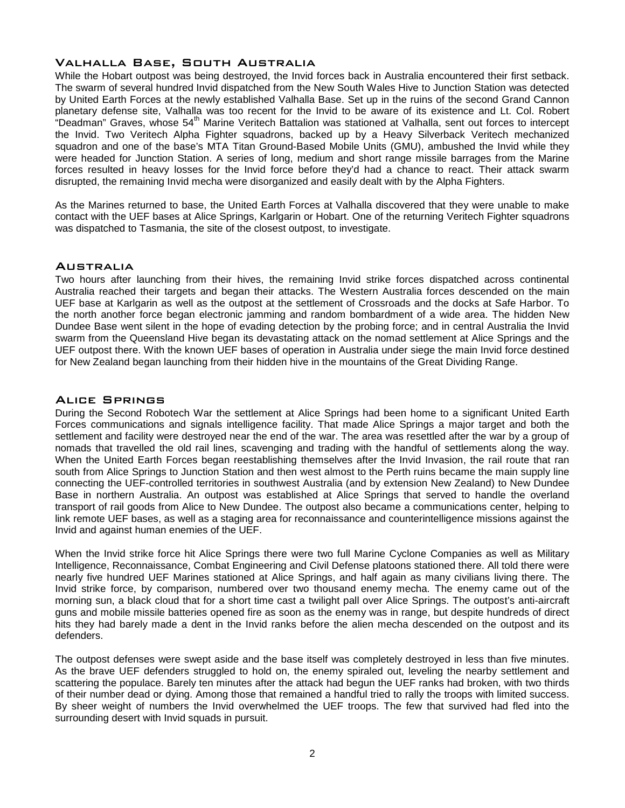# Valhalla Base, South Australia

While the Hobart outpost was being destroyed, the Invid forces back in Australia encountered their first setback. The swarm of several hundred Invid dispatched from the New South Wales Hive to Junction Station was detected by United Earth Forces at the newly established Valhalla Base. Set up in the ruins of the second Grand Cannon planetary defense site, Valhalla was too recent for the Invid to be aware of its existence and Lt. Col. Robert "Deadman" Graves, whose 54<sup>th</sup> Marine Veritech Battalion was stationed at Valhalla, sent out forces to intercept the Invid. Two Veritech Alpha Fighter squadrons, backed up by a Heavy Silverback Veritech mechanized squadron and one of the base's MTA Titan Ground-Based Mobile Units (GMU), ambushed the Invid while they were headed for Junction Station. A series of long, medium and short range missile barrages from the Marine forces resulted in heavy losses for the Invid force before they'd had a chance to react. Their attack swarm disrupted, the remaining Invid mecha were disorganized and easily dealt with by the Alpha Fighters.

As the Marines returned to base, the United Earth Forces at Valhalla discovered that they were unable to make contact with the UEF bases at Alice Springs, Karlgarin or Hobart. One of the returning Veritech Fighter squadrons was dispatched to Tasmania, the site of the closest outpost, to investigate.

#### **AUSTRALIA**

Two hours after launching from their hives, the remaining Invid strike forces dispatched across continental Australia reached their targets and began their attacks. The Western Australia forces descended on the main UEF base at Karlgarin as well as the outpost at the settlement of Crossroads and the docks at Safe Harbor. To the north another force began electronic jamming and random bombardment of a wide area. The hidden New Dundee Base went silent in the hope of evading detection by the probing force; and in central Australia the Invid swarm from the Queensland Hive began its devastating attack on the nomad settlement at Alice Springs and the UEF outpost there. With the known UEF bases of operation in Australia under siege the main Invid force destined for New Zealand began launching from their hidden hive in the mountains of the Great Dividing Range.

#### Alice Springs

During the Second Robotech War the settlement at Alice Springs had been home to a significant United Earth Forces communications and signals intelligence facility. That made Alice Springs a major target and both the settlement and facility were destroyed near the end of the war. The area was resettled after the war by a group of nomads that travelled the old rail lines, scavenging and trading with the handful of settlements along the way. When the United Earth Forces began reestablishing themselves after the Invid Invasion, the rail route that ran south from Alice Springs to Junction Station and then west almost to the Perth ruins became the main supply line connecting the UEF-controlled territories in southwest Australia (and by extension New Zealand) to New Dundee Base in northern Australia. An outpost was established at Alice Springs that served to handle the overland transport of rail goods from Alice to New Dundee. The outpost also became a communications center, helping to link remote UEF bases, as well as a staging area for reconnaissance and counterintelligence missions against the Invid and against human enemies of the UEF.

When the Invid strike force hit Alice Springs there were two full Marine Cyclone Companies as well as Military Intelligence, Reconnaissance, Combat Engineering and Civil Defense platoons stationed there. All told there were nearly five hundred UEF Marines stationed at Alice Springs, and half again as many civilians living there. The Invid strike force, by comparison, numbered over two thousand enemy mecha. The enemy came out of the morning sun, a black cloud that for a short time cast a twilight pall over Alice Springs. The outpost's anti-aircraft guns and mobile missile batteries opened fire as soon as the enemy was in range, but despite hundreds of direct hits they had barely made a dent in the Invid ranks before the alien mecha descended on the outpost and its defenders.

The outpost defenses were swept aside and the base itself was completely destroyed in less than five minutes. As the brave UEF defenders struggled to hold on, the enemy spiraled out, leveling the nearby settlement and scattering the populace. Barely ten minutes after the attack had begun the UEF ranks had broken, with two thirds of their number dead or dying. Among those that remained a handful tried to rally the troops with limited success. By sheer weight of numbers the Invid overwhelmed the UEF troops. The few that survived had fled into the surrounding desert with Invid squads in pursuit.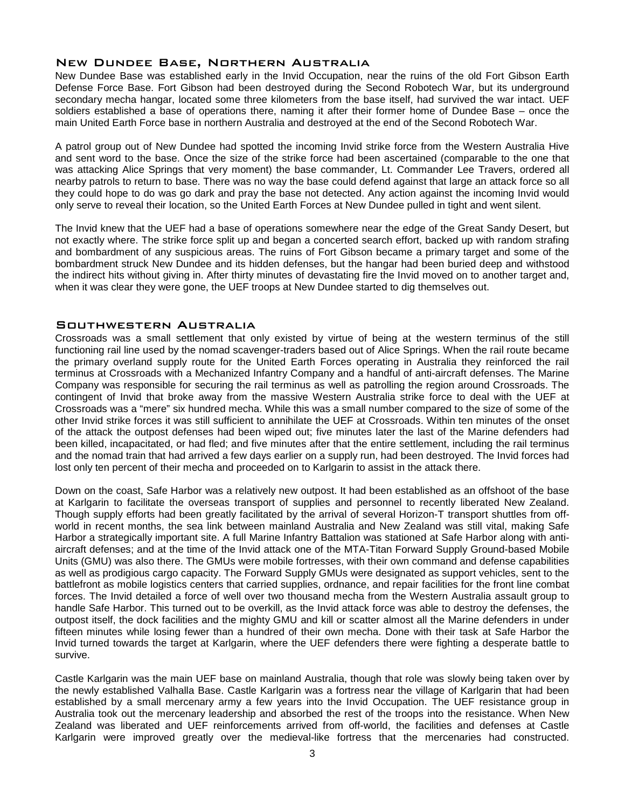# New Dundee Base, Northern Australia

New Dundee Base was established early in the Invid Occupation, near the ruins of the old Fort Gibson Earth Defense Force Base. Fort Gibson had been destroyed during the Second Robotech War, but its underground secondary mecha hangar, located some three kilometers from the base itself, had survived the war intact. UEF soldiers established a base of operations there, naming it after their former home of Dundee Base – once the main United Earth Force base in northern Australia and destroyed at the end of the Second Robotech War.

A patrol group out of New Dundee had spotted the incoming Invid strike force from the Western Australia Hive and sent word to the base. Once the size of the strike force had been ascertained (comparable to the one that was attacking Alice Springs that very moment) the base commander, Lt. Commander Lee Travers, ordered all nearby patrols to return to base. There was no way the base could defend against that large an attack force so all they could hope to do was go dark and pray the base not detected. Any action against the incoming Invid would only serve to reveal their location, so the United Earth Forces at New Dundee pulled in tight and went silent.

The Invid knew that the UEF had a base of operations somewhere near the edge of the Great Sandy Desert, but not exactly where. The strike force split up and began a concerted search effort, backed up with random strafing and bombardment of any suspicious areas. The ruins of Fort Gibson became a primary target and some of the bombardment struck New Dundee and its hidden defenses, but the hangar had been buried deep and withstood the indirect hits without giving in. After thirty minutes of devastating fire the Invid moved on to another target and, when it was clear they were gone, the UEF troops at New Dundee started to dig themselves out.

# Southwestern Australia

Crossroads was a small settlement that only existed by virtue of being at the western terminus of the still functioning rail line used by the nomad scavenger-traders based out of Alice Springs. When the rail route became the primary overland supply route for the United Earth Forces operating in Australia they reinforced the rail terminus at Crossroads with a Mechanized Infantry Company and a handful of anti-aircraft defenses. The Marine Company was responsible for securing the rail terminus as well as patrolling the region around Crossroads. The contingent of Invid that broke away from the massive Western Australia strike force to deal with the UEF at Crossroads was a "mere" six hundred mecha. While this was a small number compared to the size of some of the other Invid strike forces it was still sufficient to annihilate the UEF at Crossroads. Within ten minutes of the onset of the attack the outpost defenses had been wiped out; five minutes later the last of the Marine defenders had been killed, incapacitated, or had fled; and five minutes after that the entire settlement, including the rail terminus and the nomad train that had arrived a few days earlier on a supply run, had been destroyed. The Invid forces had lost only ten percent of their mecha and proceeded on to Karlgarin to assist in the attack there.

Down on the coast, Safe Harbor was a relatively new outpost. It had been established as an offshoot of the base at Karlgarin to facilitate the overseas transport of supplies and personnel to recently liberated New Zealand. Though supply efforts had been greatly facilitated by the arrival of several Horizon-T transport shuttles from offworld in recent months, the sea link between mainland Australia and New Zealand was still vital, making Safe Harbor a strategically important site. A full Marine Infantry Battalion was stationed at Safe Harbor along with antiaircraft defenses; and at the time of the Invid attack one of the MTA-Titan Forward Supply Ground-based Mobile Units (GMU) was also there. The GMUs were mobile fortresses, with their own command and defense capabilities as well as prodigious cargo capacity. The Forward Supply GMUs were designated as support vehicles, sent to the battlefront as mobile logistics centers that carried supplies, ordnance, and repair facilities for the front line combat forces. The Invid detailed a force of well over two thousand mecha from the Western Australia assault group to handle Safe Harbor. This turned out to be overkill, as the Invid attack force was able to destroy the defenses, the outpost itself, the dock facilities and the mighty GMU and kill or scatter almost all the Marine defenders in under fifteen minutes while losing fewer than a hundred of their own mecha. Done with their task at Safe Harbor the Invid turned towards the target at Karlgarin, where the UEF defenders there were fighting a desperate battle to survive.

Castle Karlgarin was the main UEF base on mainland Australia, though that role was slowly being taken over by the newly established Valhalla Base. Castle Karlgarin was a fortress near the village of Karlgarin that had been established by a small mercenary army a few years into the Invid Occupation. The UEF resistance group in Australia took out the mercenary leadership and absorbed the rest of the troops into the resistance. When New Zealand was liberated and UEF reinforcements arrived from off-world, the facilities and defenses at Castle Karlgarin were improved greatly over the medieval-like fortress that the mercenaries had constructed.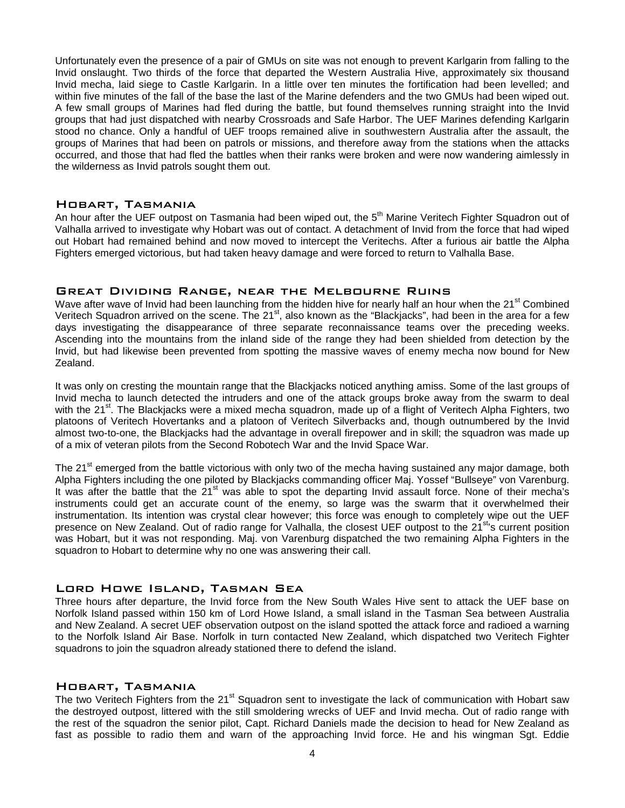Unfortunately even the presence of a pair of GMUs on site was not enough to prevent Karlgarin from falling to the Invid onslaught. Two thirds of the force that departed the Western Australia Hive, approximately six thousand Invid mecha, laid siege to Castle Karlgarin. In a little over ten minutes the fortification had been levelled; and within five minutes of the fall of the base the last of the Marine defenders and the two GMUs had been wiped out. A few small groups of Marines had fled during the battle, but found themselves running straight into the Invid groups that had just dispatched with nearby Crossroads and Safe Harbor. The UEF Marines defending Karlgarin stood no chance. Only a handful of UEF troops remained alive in southwestern Australia after the assault, the groups of Marines that had been on patrols or missions, and therefore away from the stations when the attacks occurred, and those that had fled the battles when their ranks were broken and were now wandering aimlessly in the wilderness as Invid patrols sought them out.

## Hobart, Tasmania

An hour after the UEF outpost on Tasmania had been wiped out, the 5<sup>th</sup> Marine Veritech Fighter Squadron out of Valhalla arrived to investigate why Hobart was out of contact. A detachment of Invid from the force that had wiped out Hobart had remained behind and now moved to intercept the Veritechs. After a furious air battle the Alpha Fighters emerged victorious, but had taken heavy damage and were forced to return to Valhalla Base.

#### Great Dividing Range, near the Melbourne Ruins

Wave after wave of Invid had been launching from the hidden hive for nearly half an hour when the 21<sup>st</sup> Combined Veritech Squadron arrived on the scene. The 21<sup>st</sup>, also known as the "Blackjacks", had been in the area for a few days investigating the disappearance of three separate reconnaissance teams over the preceding weeks. Ascending into the mountains from the inland side of the range they had been shielded from detection by the Invid, but had likewise been prevented from spotting the massive waves of enemy mecha now bound for New Zealand.

It was only on cresting the mountain range that the Blackjacks noticed anything amiss. Some of the last groups of Invid mecha to launch detected the intruders and one of the attack groups broke away from the swarm to deal with the 21<sup>st</sup>. The Blackjacks were a mixed mecha squadron, made up of a flight of Veritech Alpha Fighters, two platoons of Veritech Hovertanks and a platoon of Veritech Silverbacks and, though outnumbered by the Invid almost two-to-one, the Blackjacks had the advantage in overall firepower and in skill; the squadron was made up of a mix of veteran pilots from the Second Robotech War and the Invid Space War.

The 21<sup>st</sup> emerged from the battle victorious with only two of the mecha having sustained any major damage, both Alpha Fighters including the one piloted by Blackjacks commanding officer Maj. Yossef "Bullseye" von Varenburg. It was after the battle that the  $21<sup>st</sup>$  was able to spot the departing Invid assault force. None of their mecha's instruments could get an accurate count of the enemy, so large was the swarm that it overwhelmed their instrumentation. Its intention was crystal clear however; this force was enough to completely wipe out the UEF presence on New Zealand. Out of radio range for Valhalla, the closest UEF outpost to the 21<sup>st</sup>'s current position was Hobart, but it was not responding. Maj. von Varenburg dispatched the two remaining Alpha Fighters in the squadron to Hobart to determine why no one was answering their call.

# Lord Howe Island, Tasman Sea

Three hours after departure, the Invid force from the New South Wales Hive sent to attack the UEF base on Norfolk Island passed within 150 km of Lord Howe Island, a small island in the Tasman Sea between Australia and New Zealand. A secret UEF observation outpost on the island spotted the attack force and radioed a warning to the Norfolk Island Air Base. Norfolk in turn contacted New Zealand, which dispatched two Veritech Fighter squadrons to join the squadron already stationed there to defend the island.

# Hobart, Tasmania

The two Veritech Fighters from the 21<sup>st</sup> Squadron sent to investigate the lack of communication with Hobart saw the destroyed outpost, littered with the still smoldering wrecks of UEF and Invid mecha. Out of radio range with the rest of the squadron the senior pilot, Capt. Richard Daniels made the decision to head for New Zealand as fast as possible to radio them and warn of the approaching Invid force. He and his wingman Sgt. Eddie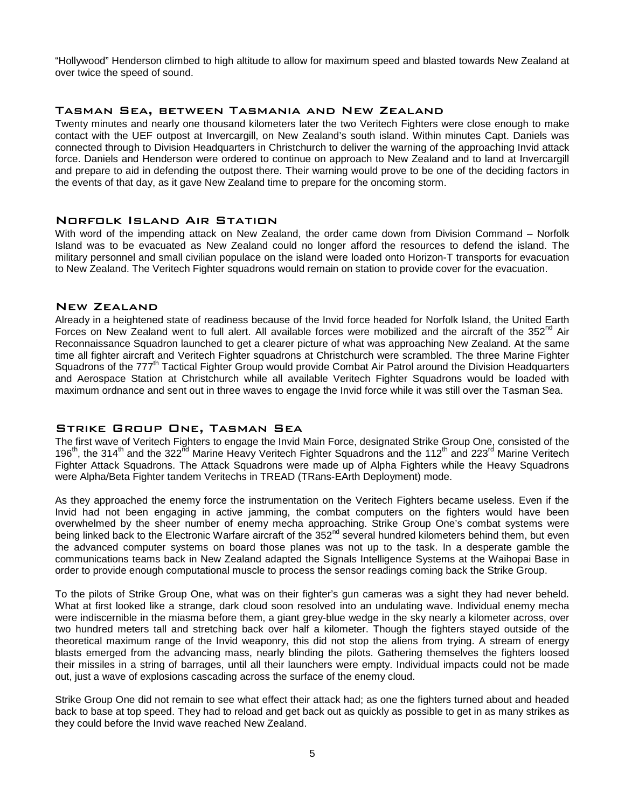"Hollywood" Henderson climbed to high altitude to allow for maximum speed and blasted towards New Zealand at over twice the speed of sound.

# Tasman Sea, between Tasmania and New Zealand

Twenty minutes and nearly one thousand kilometers later the two Veritech Fighters were close enough to make contact with the UEF outpost at Invercargill, on New Zealand's south island. Within minutes Capt. Daniels was connected through to Division Headquarters in Christchurch to deliver the warning of the approaching Invid attack force. Daniels and Henderson were ordered to continue on approach to New Zealand and to land at Invercargill and prepare to aid in defending the outpost there. Their warning would prove to be one of the deciding factors in the events of that day, as it gave New Zealand time to prepare for the oncoming storm.

# Norfolk Island Air Station

With word of the impending attack on New Zealand, the order came down from Division Command – Norfolk Island was to be evacuated as New Zealand could no longer afford the resources to defend the island. The military personnel and small civilian populace on the island were loaded onto Horizon-T transports for evacuation to New Zealand. The Veritech Fighter squadrons would remain on station to provide cover for the evacuation.

# New Zealand

Already in a heightened state of readiness because of the Invid force headed for Norfolk Island, the United Earth Forces on New Zealand went to full alert. All available forces were mobilized and the aircraft of the  $352<sup>nd</sup>$  Air Reconnaissance Squadron launched to get a clearer picture of what was approaching New Zealand. At the same time all fighter aircraft and Veritech Fighter squadrons at Christchurch were scrambled. The three Marine Fighter Squadrons of the 777<sup>th</sup> Tactical Fighter Group would provide Combat Air Patrol around the Division Headquarters and Aerospace Station at Christchurch while all available Veritech Fighter Squadrons would be loaded with maximum ordnance and sent out in three waves to engage the Invid force while it was still over the Tasman Sea.

# Strike Group One, Tasman Sea

The first wave of Veritech Fighters to engage the Invid Main Force, designated Strike Group One, consisted of the 196<sup>th</sup>, the 314<sup>th</sup> and the 322<sup>nd</sup> Marine Heavy Veritech Fighter Squadrons and the 112<sup>th</sup> and 223<sup>rd</sup> Marine Veritech Fighter Attack Squadrons. The Attack Squadrons were made up of Alpha Fighters while the Heavy Squadrons were Alpha/Beta Fighter tandem Veritechs in TREAD (TRans-EArth Deployment) mode.

As they approached the enemy force the instrumentation on the Veritech Fighters became useless. Even if the Invid had not been engaging in active jamming, the combat computers on the fighters would have been overwhelmed by the sheer number of enemy mecha approaching. Strike Group One's combat systems were being linked back to the Electronic Warfare aircraft of the 352<sup>nd</sup> several hundred kilometers behind them, but even the advanced computer systems on board those planes was not up to the task. In a desperate gamble the communications teams back in New Zealand adapted the Signals Intelligence Systems at the Waihopai Base in order to provide enough computational muscle to process the sensor readings coming back the Strike Group.

To the pilots of Strike Group One, what was on their fighter's gun cameras was a sight they had never beheld. What at first looked like a strange, dark cloud soon resolved into an undulating wave. Individual enemy mecha were indiscernible in the miasma before them, a giant grey-blue wedge in the sky nearly a kilometer across, over two hundred meters tall and stretching back over half a kilometer. Though the fighters stayed outside of the theoretical maximum range of the Invid weaponry, this did not stop the aliens from trying. A stream of energy blasts emerged from the advancing mass, nearly blinding the pilots. Gathering themselves the fighters loosed their missiles in a string of barrages, until all their launchers were empty. Individual impacts could not be made out, just a wave of explosions cascading across the surface of the enemy cloud.

Strike Group One did not remain to see what effect their attack had; as one the fighters turned about and headed back to base at top speed. They had to reload and get back out as quickly as possible to get in as many strikes as they could before the Invid wave reached New Zealand.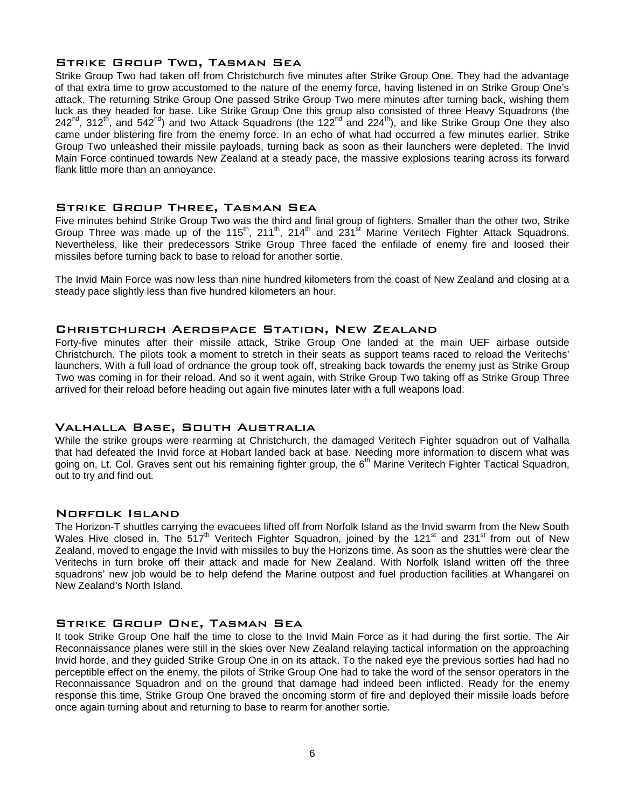# Strike Group Two, Tasman Sea

Strike Group Two had taken off from Christchurch five minutes after Strike Group One. They had the advantage of that extra time to grow accustomed to the nature of the enemy force, having listened in on Strike Group One's attack. The returning Strike Group One passed Strike Group Two mere minutes after turning back, wishing them luck as they headed for base. Like Strike Group One this group also consisted of three Heavy Squadrons (the  $242^{nd}$ , 312<sup>th</sup>, and 542<sup>nd</sup>) and two Attack Squadrons (the 122<sup>nd</sup> and 224<sup>th</sup>), and like Strike Group One they also came under blistering fire from the enemy force. In an echo of what had occurred a few minutes earlier, Strike Group Two unleashed their missile payloads, turning back as soon as their launchers were depleted. The Invid Main Force continued towards New Zealand at a steady pace, the massive explosions tearing across its forward flank little more than an annoyance.

# Strike Group Three, Tasman Sea

Five minutes behind Strike Group Two was the third and final group of fighters. Smaller than the other two, Strike Group Three was made up of the 115<sup>th</sup>, 211<sup>th</sup>, 214<sup>th</sup> and 231<sup>st</sup> Marine Veritech Fighter Attack Squadrons. Nevertheless, like their predecessors Strike Group Three faced the enfilade of enemy fire and loosed their missiles before turning back to base to reload for another sortie.

The Invid Main Force was now less than nine hundred kilometers from the coast of New Zealand and closing at a steady pace slightly less than five hundred kilometers an hour.

# Christchurch Aerospace Station, New Zealand

Forty-five minutes after their missile attack, Strike Group One landed at the main UEF airbase outside Christchurch. The pilots took a moment to stretch in their seats as support teams raced to reload the Veritechs' launchers. With a full load of ordnance the group took off, streaking back towards the enemy just as Strike Group Two was coming in for their reload. And so it went again, with Strike Group Two taking off as Strike Group Three arrived for their reload before heading out again five minutes later with a full weapons load.

# Valhalla Base, South Australia

While the strike groups were rearming at Christchurch, the damaged Veritech Fighter squadron out of Valhalla that had defeated the Invid force at Hobart landed back at base. Needing more information to discern what was going on, Lt. Col. Graves sent out his remaining fighter group, the 6<sup>th</sup> Marine Veritech Fighter Tactical Squadron, out to try and find out.

# Norfolk Island

The Horizon-T shuttles carrying the evacuees lifted off from Norfolk Island as the Invid swarm from the New South Wales Hive closed in. The 517<sup>th</sup> Veritech Fighter Squadron, joined by the 121<sup>st</sup> and 231<sup>st</sup> from out of New Zealand, moved to engage the Invid with missiles to buy the Horizons time. As soon as the shuttles were clear the Veritechs in turn broke off their attack and made for New Zealand. With Norfolk Island written off the three squadrons' new job would be to help defend the Marine outpost and fuel production facilities at Whangarei on New Zealand's North Island.

# Strike Group One, Tasman Sea

It took Strike Group One half the time to close to the Invid Main Force as it had during the first sortie. The Air Reconnaissance planes were still in the skies over New Zealand relaying tactical information on the approaching Invid horde, and they guided Strike Group One in on its attack. To the naked eye the previous sorties had had no perceptible effect on the enemy, the pilots of Strike Group One had to take the word of the sensor operators in the Reconnaissance Squadron and on the ground that damage had indeed been inflicted. Ready for the enemy response this time, Strike Group One braved the oncoming storm of fire and deployed their missile loads before once again turning about and returning to base to rearm for another sortie.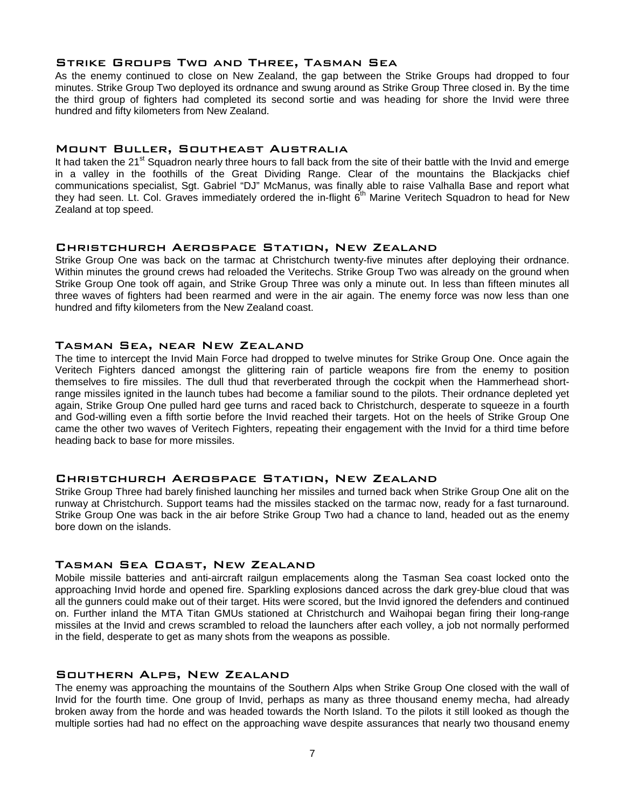# Strike Groups Two and Three, Tasman Sea

As the enemy continued to close on New Zealand, the gap between the Strike Groups had dropped to four minutes. Strike Group Two deployed its ordnance and swung around as Strike Group Three closed in. By the time the third group of fighters had completed its second sortie and was heading for shore the Invid were three hundred and fifty kilometers from New Zealand.

# Mount Buller, Southeast Australia

It had taken the 21<sup>st</sup> Squadron nearly three hours to fall back from the site of their battle with the Invid and emerge in a valley in the foothills of the Great Dividing Range. Clear of the mountains the Blackjacks chief communications specialist, Sgt. Gabriel "DJ" McManus, was finally able to raise Valhalla Base and report what they had seen. Lt. Col. Graves immediately ordered the in-flight 6<sup>th</sup> Marine Veritech Squadron to head for New Zealand at top speed.

# Christchurch Aerospace Station, New Zealand

Strike Group One was back on the tarmac at Christchurch twenty-five minutes after deploying their ordnance. Within minutes the ground crews had reloaded the Veritechs. Strike Group Two was already on the ground when Strike Group One took off again, and Strike Group Three was only a minute out. In less than fifteen minutes all three waves of fighters had been rearmed and were in the air again. The enemy force was now less than one hundred and fifty kilometers from the New Zealand coast.

# Tasman Sea, near New Zealand

The time to intercept the Invid Main Force had dropped to twelve minutes for Strike Group One. Once again the Veritech Fighters danced amongst the glittering rain of particle weapons fire from the enemy to position themselves to fire missiles. The dull thud that reverberated through the cockpit when the Hammerhead shortrange missiles ignited in the launch tubes had become a familiar sound to the pilots. Their ordnance depleted yet again, Strike Group One pulled hard gee turns and raced back to Christchurch, desperate to squeeze in a fourth and God-willing even a fifth sortie before the Invid reached their targets. Hot on the heels of Strike Group One came the other two waves of Veritech Fighters, repeating their engagement with the Invid for a third time before heading back to base for more missiles.

# Christchurch Aerospace Station, New Zealand

Strike Group Three had barely finished launching her missiles and turned back when Strike Group One alit on the runway at Christchurch. Support teams had the missiles stacked on the tarmac now, ready for a fast turnaround. Strike Group One was back in the air before Strike Group Two had a chance to land, headed out as the enemy bore down on the islands.

# Tasman Sea Coast, New Zealand

Mobile missile batteries and anti-aircraft railgun emplacements along the Tasman Sea coast locked onto the approaching Invid horde and opened fire. Sparkling explosions danced across the dark grey-blue cloud that was all the gunners could make out of their target. Hits were scored, but the Invid ignored the defenders and continued on. Further inland the MTA Titan GMUs stationed at Christchurch and Waihopai began firing their long-range missiles at the Invid and crews scrambled to reload the launchers after each volley, a job not normally performed in the field, desperate to get as many shots from the weapons as possible.

# Southern Alps, New Zealand

The enemy was approaching the mountains of the Southern Alps when Strike Group One closed with the wall of Invid for the fourth time. One group of Invid, perhaps as many as three thousand enemy mecha, had already broken away from the horde and was headed towards the North Island. To the pilots it still looked as though the multiple sorties had had no effect on the approaching wave despite assurances that nearly two thousand enemy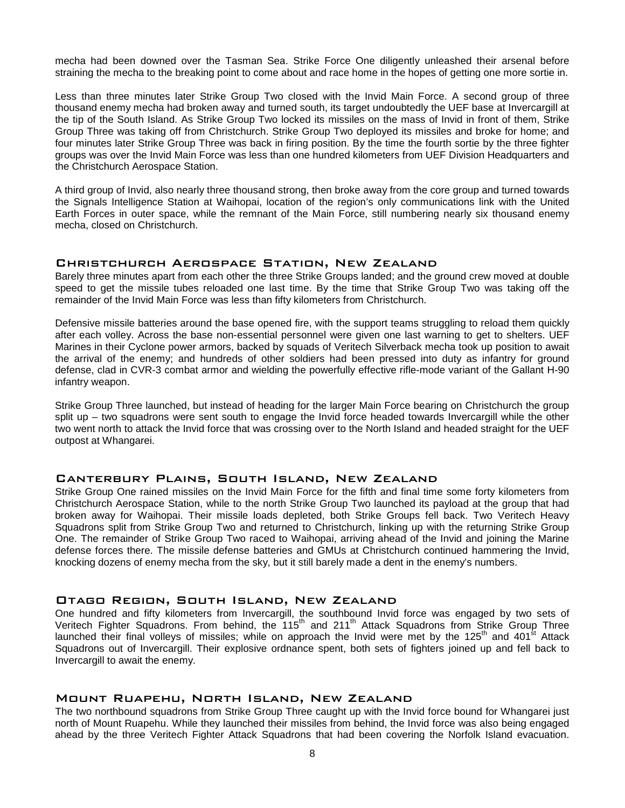mecha had been downed over the Tasman Sea. Strike Force One diligently unleashed their arsenal before straining the mecha to the breaking point to come about and race home in the hopes of getting one more sortie in.

Less than three minutes later Strike Group Two closed with the Invid Main Force. A second group of three thousand enemy mecha had broken away and turned south, its target undoubtedly the UEF base at Invercargill at the tip of the South Island. As Strike Group Two locked its missiles on the mass of Invid in front of them, Strike Group Three was taking off from Christchurch. Strike Group Two deployed its missiles and broke for home; and four minutes later Strike Group Three was back in firing position. By the time the fourth sortie by the three fighter groups was over the Invid Main Force was less than one hundred kilometers from UEF Division Headquarters and the Christchurch Aerospace Station.

A third group of Invid, also nearly three thousand strong, then broke away from the core group and turned towards the Signals Intelligence Station at Waihopai, location of the region's only communications link with the United Earth Forces in outer space, while the remnant of the Main Force, still numbering nearly six thousand enemy mecha, closed on Christchurch.

# Christchurch Aerospace Station, New Zealand

Barely three minutes apart from each other the three Strike Groups landed; and the ground crew moved at double speed to get the missile tubes reloaded one last time. By the time that Strike Group Two was taking off the remainder of the Invid Main Force was less than fifty kilometers from Christchurch.

Defensive missile batteries around the base opened fire, with the support teams struggling to reload them quickly after each volley. Across the base non-essential personnel were given one last warning to get to shelters. UEF Marines in their Cyclone power armors, backed by squads of Veritech Silverback mecha took up position to await the arrival of the enemy; and hundreds of other soldiers had been pressed into duty as infantry for ground defense, clad in CVR-3 combat armor and wielding the powerfully effective rifle-mode variant of the Gallant H-90 infantry weapon.

Strike Group Three launched, but instead of heading for the larger Main Force bearing on Christchurch the group split up – two squadrons were sent south to engage the Invid force headed towards Invercargill while the other two went north to attack the Invid force that was crossing over to the North Island and headed straight for the UEF outpost at Whangarei.

# Canterbury Plains, South Island, New Zealand

Strike Group One rained missiles on the Invid Main Force for the fifth and final time some forty kilometers from Christchurch Aerospace Station, while to the north Strike Group Two launched its payload at the group that had broken away for Waihopai. Their missile loads depleted, both Strike Groups fell back. Two Veritech Heavy Squadrons split from Strike Group Two and returned to Christchurch, linking up with the returning Strike Group One. The remainder of Strike Group Two raced to Waihopai, arriving ahead of the Invid and joining the Marine defense forces there. The missile defense batteries and GMUs at Christchurch continued hammering the Invid, knocking dozens of enemy mecha from the sky, but it still barely made a dent in the enemy's numbers.

# Otago Region, South Island, New Zealand

One hundred and fifty kilometers from Invercargill, the southbound Invid force was engaged by two sets of Veritech Fighter Squadrons. From behind, the 115<sup>th</sup> and 211<sup>th</sup> Attack Squadrons from Strike Group Three launched their final volleys of missiles; while on approach the Invid were met by the 125<sup>th</sup> and 401<sup>st</sup> Attack Squadrons out of Invercargill. Their explosive ordnance spent, both sets of fighters joined up and fell back to Invercargill to await the enemy.

# Mount Ruapehu, North Island, New Zealand

The two northbound squadrons from Strike Group Three caught up with the Invid force bound for Whangarei just north of Mount Ruapehu. While they launched their missiles from behind, the Invid force was also being engaged ahead by the three Veritech Fighter Attack Squadrons that had been covering the Norfolk Island evacuation.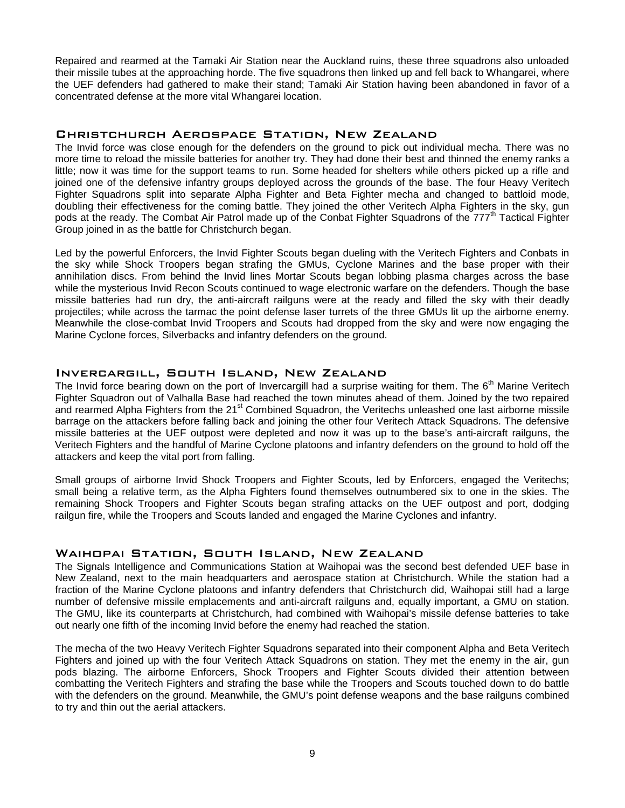Repaired and rearmed at the Tamaki Air Station near the Auckland ruins, these three squadrons also unloaded their missile tubes at the approaching horde. The five squadrons then linked up and fell back to Whangarei, where the UEF defenders had gathered to make their stand; Tamaki Air Station having been abandoned in favor of a concentrated defense at the more vital Whangarei location.

# Christchurch Aerospace Station, New Zealand

The Invid force was close enough for the defenders on the ground to pick out individual mecha. There was no more time to reload the missile batteries for another try. They had done their best and thinned the enemy ranks a little; now it was time for the support teams to run. Some headed for shelters while others picked up a rifle and joined one of the defensive infantry groups deployed across the grounds of the base. The four Heavy Veritech Fighter Squadrons split into separate Alpha Fighter and Beta Fighter mecha and changed to battloid mode, doubling their effectiveness for the coming battle. They joined the other Veritech Alpha Fighters in the sky, gun pods at the ready. The Combat Air Patrol made up of the Conbat Fighter Squadrons of the 777<sup>th</sup> Tactical Fighter Group joined in as the battle for Christchurch began.

Led by the powerful Enforcers, the Invid Fighter Scouts began dueling with the Veritech Fighters and Conbats in the sky while Shock Troopers began strafing the GMUs, Cyclone Marines and the base proper with their annihilation discs. From behind the Invid lines Mortar Scouts began lobbing plasma charges across the base while the mysterious Invid Recon Scouts continued to wage electronic warfare on the defenders. Though the base missile batteries had run dry, the anti-aircraft railguns were at the ready and filled the sky with their deadly projectiles; while across the tarmac the point defense laser turrets of the three GMUs lit up the airborne enemy. Meanwhile the close-combat Invid Troopers and Scouts had dropped from the sky and were now engaging the Marine Cyclone forces, Silverbacks and infantry defenders on the ground.

# Invercargill, South Island, New Zealand

The Invid force bearing down on the port of Invercargill had a surprise waiting for them. The 6<sup>th</sup> Marine Veritech Fighter Squadron out of Valhalla Base had reached the town minutes ahead of them. Joined by the two repaired and rearmed Alpha Fighters from the 21<sup>st</sup> Combined Squadron, the Veritechs unleashed one last airborne missile barrage on the attackers before falling back and joining the other four Veritech Attack Squadrons. The defensive missile batteries at the UEF outpost were depleted and now it was up to the base's anti-aircraft railguns, the Veritech Fighters and the handful of Marine Cyclone platoons and infantry defenders on the ground to hold off the attackers and keep the vital port from falling.

Small groups of airborne Invid Shock Troopers and Fighter Scouts, led by Enforcers, engaged the Veritechs; small being a relative term, as the Alpha Fighters found themselves outnumbered six to one in the skies. The remaining Shock Troopers and Fighter Scouts began strafing attacks on the UEF outpost and port, dodging railgun fire, while the Troopers and Scouts landed and engaged the Marine Cyclones and infantry.

# Waihopai Station, South Island, New Zealand

The Signals Intelligence and Communications Station at Waihopai was the second best defended UEF base in New Zealand, next to the main headquarters and aerospace station at Christchurch. While the station had a fraction of the Marine Cyclone platoons and infantry defenders that Christchurch did, Waihopai still had a large number of defensive missile emplacements and anti-aircraft railguns and, equally important, a GMU on station. The GMU, like its counterparts at Christchurch, had combined with Waihopai's missile defense batteries to take out nearly one fifth of the incoming Invid before the enemy had reached the station.

The mecha of the two Heavy Veritech Fighter Squadrons separated into their component Alpha and Beta Veritech Fighters and joined up with the four Veritech Attack Squadrons on station. They met the enemy in the air, gun pods blazing. The airborne Enforcers, Shock Troopers and Fighter Scouts divided their attention between combatting the Veritech Fighters and strafing the base while the Troopers and Scouts touched down to do battle with the defenders on the ground. Meanwhile, the GMU's point defense weapons and the base railguns combined to try and thin out the aerial attackers.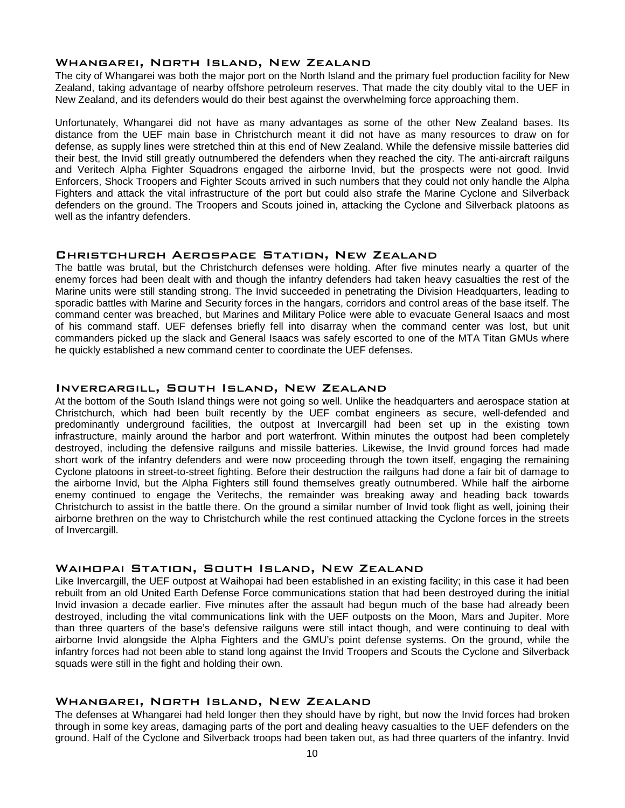# Whangarei, North Island, New Zealand

The city of Whangarei was both the major port on the North Island and the primary fuel production facility for New Zealand, taking advantage of nearby offshore petroleum reserves. That made the city doubly vital to the UEF in New Zealand, and its defenders would do their best against the overwhelming force approaching them.

Unfortunately, Whangarei did not have as many advantages as some of the other New Zealand bases. Its distance from the UEF main base in Christchurch meant it did not have as many resources to draw on for defense, as supply lines were stretched thin at this end of New Zealand. While the defensive missile batteries did their best, the Invid still greatly outnumbered the defenders when they reached the city. The anti-aircraft railguns and Veritech Alpha Fighter Squadrons engaged the airborne Invid, but the prospects were not good. Invid Enforcers, Shock Troopers and Fighter Scouts arrived in such numbers that they could not only handle the Alpha Fighters and attack the vital infrastructure of the port but could also strafe the Marine Cyclone and Silverback defenders on the ground. The Troopers and Scouts joined in, attacking the Cyclone and Silverback platoons as well as the infantry defenders.

# Christchurch Aerospace Station, New Zealand

The battle was brutal, but the Christchurch defenses were holding. After five minutes nearly a quarter of the enemy forces had been dealt with and though the infantry defenders had taken heavy casualties the rest of the Marine units were still standing strong. The Invid succeeded in penetrating the Division Headquarters, leading to sporadic battles with Marine and Security forces in the hangars, corridors and control areas of the base itself. The command center was breached, but Marines and Military Police were able to evacuate General Isaacs and most of his command staff. UEF defenses briefly fell into disarray when the command center was lost, but unit commanders picked up the slack and General Isaacs was safely escorted to one of the MTA Titan GMUs where he quickly established a new command center to coordinate the UEF defenses.

# Invercargill, South Island, New Zealand

At the bottom of the South Island things were not going so well. Unlike the headquarters and aerospace station at Christchurch, which had been built recently by the UEF combat engineers as secure, well-defended and predominantly underground facilities, the outpost at Invercargill had been set up in the existing town infrastructure, mainly around the harbor and port waterfront. Within minutes the outpost had been completely destroyed, including the defensive railguns and missile batteries. Likewise, the Invid ground forces had made short work of the infantry defenders and were now proceeding through the town itself, engaging the remaining Cyclone platoons in street-to-street fighting. Before their destruction the railguns had done a fair bit of damage to the airborne Invid, but the Alpha Fighters still found themselves greatly outnumbered. While half the airborne enemy continued to engage the Veritechs, the remainder was breaking away and heading back towards Christchurch to assist in the battle there. On the ground a similar number of Invid took flight as well, joining their airborne brethren on the way to Christchurch while the rest continued attacking the Cyclone forces in the streets of Invercargill.

# Waihopai Station, South Island, New Zealand

Like Invercargill, the UEF outpost at Waihopai had been established in an existing facility; in this case it had been rebuilt from an old United Earth Defense Force communications station that had been destroyed during the initial Invid invasion a decade earlier. Five minutes after the assault had begun much of the base had already been destroyed, including the vital communications link with the UEF outposts on the Moon, Mars and Jupiter. More than three quarters of the base's defensive railguns were still intact though, and were continuing to deal with airborne Invid alongside the Alpha Fighters and the GMU's point defense systems. On the ground, while the infantry forces had not been able to stand long against the Invid Troopers and Scouts the Cyclone and Silverback squads were still in the fight and holding their own.

# Whangarei, North Island, New Zealand

The defenses at Whangarei had held longer then they should have by right, but now the Invid forces had broken through in some key areas, damaging parts of the port and dealing heavy casualties to the UEF defenders on the ground. Half of the Cyclone and Silverback troops had been taken out, as had three quarters of the infantry. Invid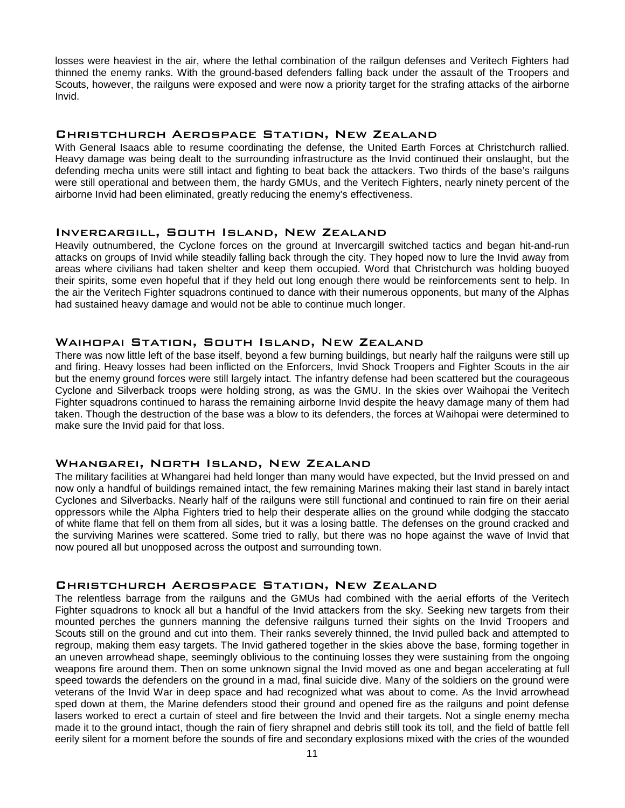losses were heaviest in the air, where the lethal combination of the railgun defenses and Veritech Fighters had thinned the enemy ranks. With the ground-based defenders falling back under the assault of the Troopers and Scouts, however, the railguns were exposed and were now a priority target for the strafing attacks of the airborne Invid.

# Christchurch Aerospace Station, New Zealand

With General Isaacs able to resume coordinating the defense, the United Earth Forces at Christchurch rallied. Heavy damage was being dealt to the surrounding infrastructure as the Invid continued their onslaught, but the defending mecha units were still intact and fighting to beat back the attackers. Two thirds of the base's railguns were still operational and between them, the hardy GMUs, and the Veritech Fighters, nearly ninety percent of the airborne Invid had been eliminated, greatly reducing the enemy's effectiveness.

# Invercargill, South Island, New Zealand

Heavily outnumbered, the Cyclone forces on the ground at Invercargill switched tactics and began hit-and-run attacks on groups of Invid while steadily falling back through the city. They hoped now to lure the Invid away from areas where civilians had taken shelter and keep them occupied. Word that Christchurch was holding buoyed their spirits, some even hopeful that if they held out long enough there would be reinforcements sent to help. In the air the Veritech Fighter squadrons continued to dance with their numerous opponents, but many of the Alphas had sustained heavy damage and would not be able to continue much longer.

#### Waihopai Station, South Island, New Zealand

There was now little left of the base itself, beyond a few burning buildings, but nearly half the railguns were still up and firing. Heavy losses had been inflicted on the Enforcers, Invid Shock Troopers and Fighter Scouts in the air but the enemy ground forces were still largely intact. The infantry defense had been scattered but the courageous Cyclone and Silverback troops were holding strong, as was the GMU. In the skies over Waihopai the Veritech Fighter squadrons continued to harass the remaining airborne Invid despite the heavy damage many of them had taken. Though the destruction of the base was a blow to its defenders, the forces at Waihopai were determined to make sure the Invid paid for that loss.

#### Whangarei, North Island, New Zealand

The military facilities at Whangarei had held longer than many would have expected, but the Invid pressed on and now only a handful of buildings remained intact, the few remaining Marines making their last stand in barely intact Cyclones and Silverbacks. Nearly half of the railguns were still functional and continued to rain fire on their aerial oppressors while the Alpha Fighters tried to help their desperate allies on the ground while dodging the staccato of white flame that fell on them from all sides, but it was a losing battle. The defenses on the ground cracked and the surviving Marines were scattered. Some tried to rally, but there was no hope against the wave of Invid that now poured all but unopposed across the outpost and surrounding town.

# Christchurch Aerospace Station, New Zealand

The relentless barrage from the railguns and the GMUs had combined with the aerial efforts of the Veritech Fighter squadrons to knock all but a handful of the Invid attackers from the sky. Seeking new targets from their mounted perches the gunners manning the defensive railguns turned their sights on the Invid Troopers and Scouts still on the ground and cut into them. Their ranks severely thinned, the Invid pulled back and attempted to regroup, making them easy targets. The Invid gathered together in the skies above the base, forming together in an uneven arrowhead shape, seemingly oblivious to the continuing losses they were sustaining from the ongoing weapons fire around them. Then on some unknown signal the Invid moved as one and began accelerating at full speed towards the defenders on the ground in a mad, final suicide dive. Many of the soldiers on the ground were veterans of the Invid War in deep space and had recognized what was about to come. As the Invid arrowhead sped down at them, the Marine defenders stood their ground and opened fire as the railguns and point defense lasers worked to erect a curtain of steel and fire between the Invid and their targets. Not a single enemy mecha made it to the ground intact, though the rain of fiery shrapnel and debris still took its toll, and the field of battle fell eerily silent for a moment before the sounds of fire and secondary explosions mixed with the cries of the wounded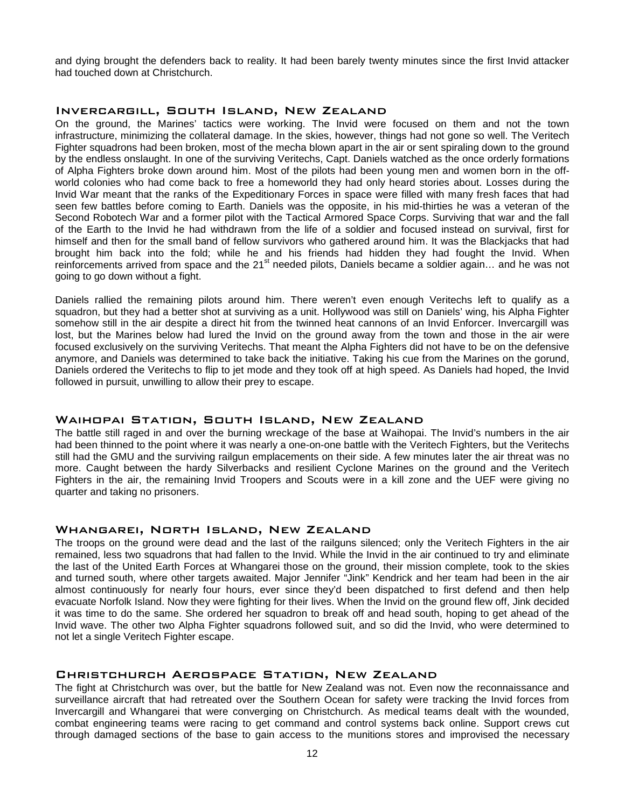and dying brought the defenders back to reality. It had been barely twenty minutes since the first Invid attacker had touched down at Christchurch.

#### Invercargill, South Island, New Zealand

On the ground, the Marines' tactics were working. The Invid were focused on them and not the town infrastructure, minimizing the collateral damage. In the skies, however, things had not gone so well. The Veritech Fighter squadrons had been broken, most of the mecha blown apart in the air or sent spiraling down to the ground by the endless onslaught. In one of the surviving Veritechs, Capt. Daniels watched as the once orderly formations of Alpha Fighters broke down around him. Most of the pilots had been young men and women born in the offworld colonies who had come back to free a homeworld they had only heard stories about. Losses during the Invid War meant that the ranks of the Expeditionary Forces in space were filled with many fresh faces that had seen few battles before coming to Earth. Daniels was the opposite, in his mid-thirties he was a veteran of the Second Robotech War and a former pilot with the Tactical Armored Space Corps. Surviving that war and the fall of the Earth to the Invid he had withdrawn from the life of a soldier and focused instead on survival, first for himself and then for the small band of fellow survivors who gathered around him. It was the Blackjacks that had brought him back into the fold; while he and his friends had hidden they had fought the Invid. When reinforcements arrived from space and the 21<sup>st</sup> needed pilots, Daniels became a soldier again... and he was not going to go down without a fight.

Daniels rallied the remaining pilots around him. There weren't even enough Veritechs left to qualify as a squadron, but they had a better shot at surviving as a unit. Hollywood was still on Daniels' wing, his Alpha Fighter somehow still in the air despite a direct hit from the twinned heat cannons of an Invid Enforcer. Invercargill was lost, but the Marines below had lured the Invid on the ground away from the town and those in the air were focused exclusively on the surviving Veritechs. That meant the Alpha Fighters did not have to be on the defensive anymore, and Daniels was determined to take back the initiative. Taking his cue from the Marines on the gorund, Daniels ordered the Veritechs to flip to jet mode and they took off at high speed. As Daniels had hoped, the Invid followed in pursuit, unwilling to allow their prey to escape.

# Waihopai Station, South Island, New Zealand

The battle still raged in and over the burning wreckage of the base at Waihopai. The Invid's numbers in the air had been thinned to the point where it was nearly a one-on-one battle with the Veritech Fighters, but the Veritechs still had the GMU and the surviving railgun emplacements on their side. A few minutes later the air threat was no more. Caught between the hardy Silverbacks and resilient Cyclone Marines on the ground and the Veritech Fighters in the air, the remaining Invid Troopers and Scouts were in a kill zone and the UEF were giving no quarter and taking no prisoners.

# Whangarei, North Island, New Zealand

The troops on the ground were dead and the last of the railguns silenced; only the Veritech Fighters in the air remained, less two squadrons that had fallen to the Invid. While the Invid in the air continued to try and eliminate the last of the United Earth Forces at Whangarei those on the ground, their mission complete, took to the skies and turned south, where other targets awaited. Major Jennifer "Jink" Kendrick and her team had been in the air almost continuously for nearly four hours, ever since they'd been dispatched to first defend and then help evacuate Norfolk Island. Now they were fighting for their lives. When the Invid on the ground flew off, Jink decided it was time to do the same. She ordered her squadron to break off and head south, hoping to get ahead of the Invid wave. The other two Alpha Fighter squadrons followed suit, and so did the Invid, who were determined to not let a single Veritech Fighter escape.

# Christchurch Aerospace Station, New Zealand

The fight at Christchurch was over, but the battle for New Zealand was not. Even now the reconnaissance and surveillance aircraft that had retreated over the Southern Ocean for safety were tracking the Invid forces from Invercargill and Whangarei that were converging on Christchurch. As medical teams dealt with the wounded, combat engineering teams were racing to get command and control systems back online. Support crews cut through damaged sections of the base to gain access to the munitions stores and improvised the necessary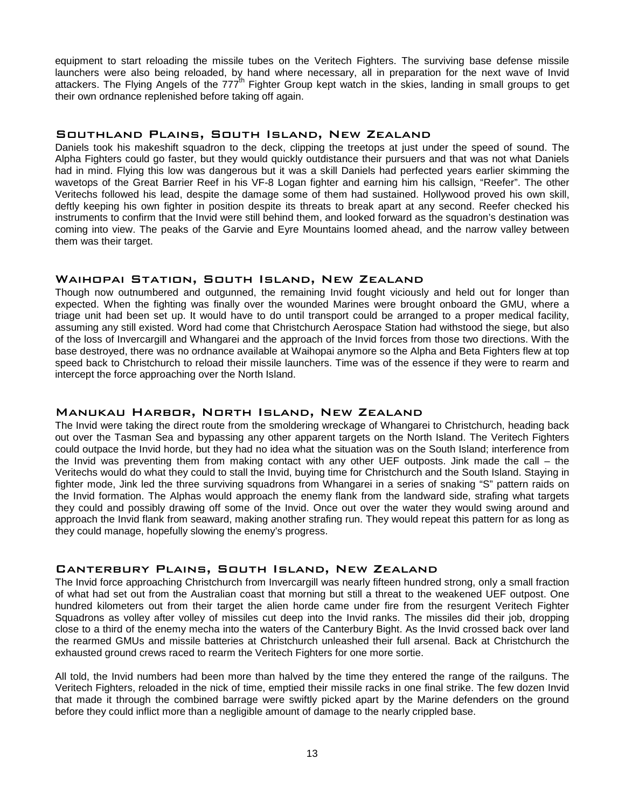equipment to start reloading the missile tubes on the Veritech Fighters. The surviving base defense missile launchers were also being reloaded, by hand where necessary, all in preparation for the next wave of Invid attackers. The Flying Angels of the 777<sup>th</sup> Fighter Group kept watch in the skies, landing in small groups to get their own ordnance replenished before taking off again.

# Southland Plains, South Island, New Zealand

Daniels took his makeshift squadron to the deck, clipping the treetops at just under the speed of sound. The Alpha Fighters could go faster, but they would quickly outdistance their pursuers and that was not what Daniels had in mind. Flying this low was dangerous but it was a skill Daniels had perfected years earlier skimming the wavetops of the Great Barrier Reef in his VF-8 Logan fighter and earning him his callsign, "Reefer". The other Veritechs followed his lead, despite the damage some of them had sustained. Hollywood proved his own skill, deftly keeping his own fighter in position despite its threats to break apart at any second. Reefer checked his instruments to confirm that the Invid were still behind them, and looked forward as the squadron's destination was coming into view. The peaks of the Garvie and Eyre Mountains loomed ahead, and the narrow valley between them was their target.

# Waihopai Station, South Island, New Zealand

Though now outnumbered and outgunned, the remaining Invid fought viciously and held out for longer than expected. When the fighting was finally over the wounded Marines were brought onboard the GMU, where a triage unit had been set up. It would have to do until transport could be arranged to a proper medical facility, assuming any still existed. Word had come that Christchurch Aerospace Station had withstood the siege, but also of the loss of Invercargill and Whangarei and the approach of the Invid forces from those two directions. With the base destroyed, there was no ordnance available at Waihopai anymore so the Alpha and Beta Fighters flew at top speed back to Christchurch to reload their missile launchers. Time was of the essence if they were to rearm and intercept the force approaching over the North Island.

# Manukau Harbor, North Island, New Zealand

The Invid were taking the direct route from the smoldering wreckage of Whangarei to Christchurch, heading back out over the Tasman Sea and bypassing any other apparent targets on the North Island. The Veritech Fighters could outpace the Invid horde, but they had no idea what the situation was on the South Island; interference from the Invid was preventing them from making contact with any other UEF outposts. Jink made the call – the Veritechs would do what they could to stall the Invid, buying time for Christchurch and the South Island. Staying in fighter mode, Jink led the three surviving squadrons from Whangarei in a series of snaking "S" pattern raids on the Invid formation. The Alphas would approach the enemy flank from the landward side, strafing what targets they could and possibly drawing off some of the Invid. Once out over the water they would swing around and approach the Invid flank from seaward, making another strafing run. They would repeat this pattern for as long as they could manage, hopefully slowing the enemy's progress.

# Canterbury Plains, South Island, New Zealand

The Invid force approaching Christchurch from Invercargill was nearly fifteen hundred strong, only a small fraction of what had set out from the Australian coast that morning but still a threat to the weakened UEF outpost. One hundred kilometers out from their target the alien horde came under fire from the resurgent Veritech Fighter Squadrons as volley after volley of missiles cut deep into the Invid ranks. The missiles did their job, dropping close to a third of the enemy mecha into the waters of the Canterbury Bight. As the Invid crossed back over land the rearmed GMUs and missile batteries at Christchurch unleashed their full arsenal. Back at Christchurch the exhausted ground crews raced to rearm the Veritech Fighters for one more sortie.

All told, the Invid numbers had been more than halved by the time they entered the range of the railguns. The Veritech Fighters, reloaded in the nick of time, emptied their missile racks in one final strike. The few dozen Invid that made it through the combined barrage were swiftly picked apart by the Marine defenders on the ground before they could inflict more than a negligible amount of damage to the nearly crippled base.